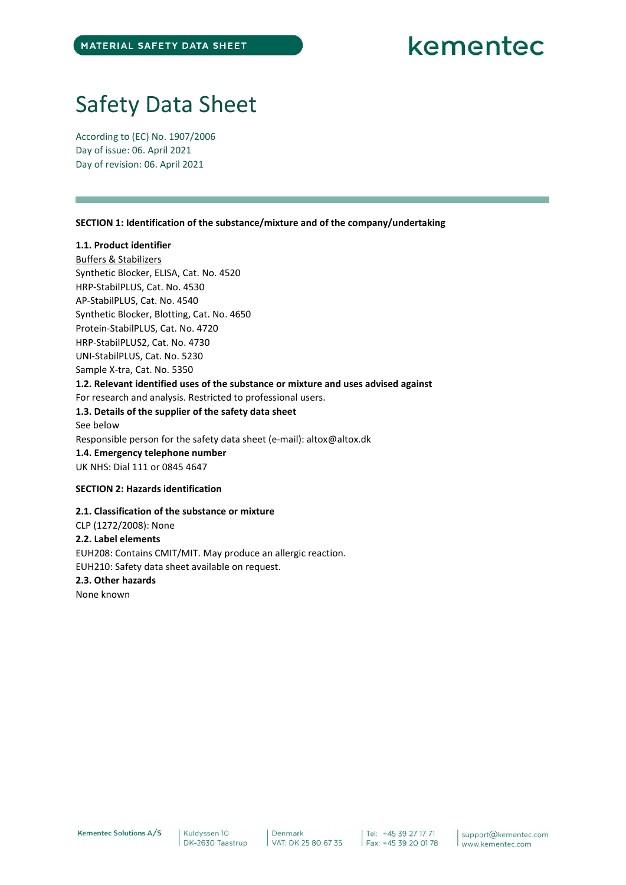# Safety Data Sheet

According to (EC) No. 1907/2006 Day of issue: 06. April 2021 Day of revision: 06. April 2021

SECTION 1: Identification of the substance/mixture and of the company/undertaking

# 1.1. Product identifier

Buffers & Stabilizers Synthetic Blocker, ELISA, Cat. No. 4520 HRP-StabilPLUS, Cat. No. 4530 AP-StabilPLUS, Cat. No. 4540 Synthetic Blocker, Blotting, Cat. No. 4650 Protein-StabilPLUS, Cat. No. 4720 HRP-StabilPLUS2, Cat. No. 4730 UNI-StabilPLUS, Cat. No. 5230 Sample X-tra, Cat. No. 5350 1.2. Relevant identified uses of the substance or mixture and uses advised against For research and analysis. Restricted to professional users. 1.3. Details of the supplier of the safety data sheet See below Responsible person for the safety data sheet (e-mail): altox@altox.dk 1.4. Emergency telephone number UK NHS: Dial 111 or 0845 4647 SECTION 2: Hazards identification

2.1. Classification of the substance or mixture CLP (1272/2008): None 2.2. Label elements EUH208: Contains CMIT/MIT. May produce an allergic reaction. EUH210: Safety data sheet available on request. 2.3. Other hazards None known

Kementec Solutions A/S

Kuldyssen 10 DK-2630 Taastrup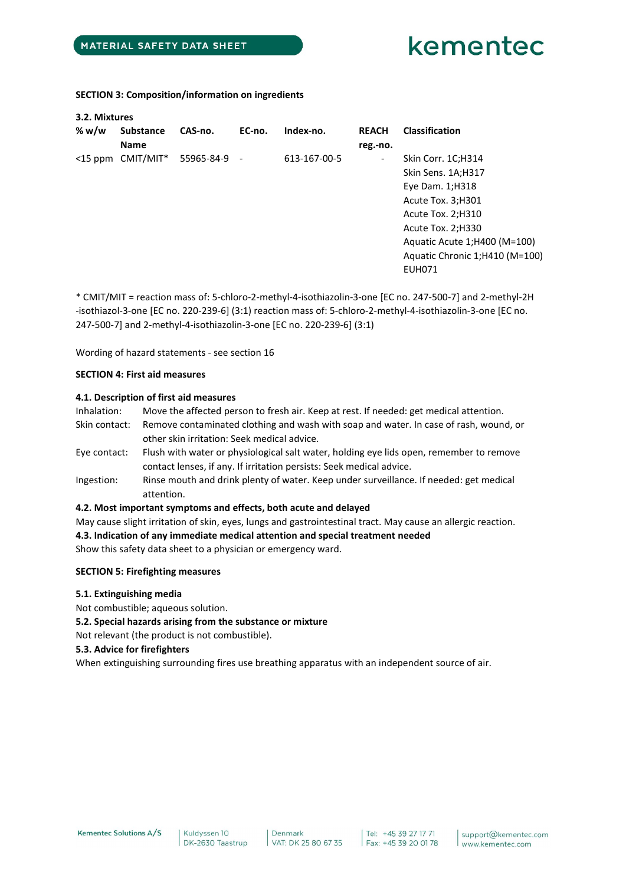SECTION 3: Composition/information on ingredients

| 3.2. Mixtures |                   |              |        |              |                          |                                |
|---------------|-------------------|--------------|--------|--------------|--------------------------|--------------------------------|
| % w/w         | <b>Substance</b>  | CAS-no.      | EC-no. | Index-no.    | <b>REACH</b>             | <b>Classification</b>          |
|               | <b>Name</b>       |              |        |              | reg.-no.                 |                                |
|               | <15 ppm CMIT/MIT* | 55965-84-9 - |        | 613-167-00-5 | $\overline{\phantom{a}}$ | Skin Corr. 1C;H314             |
|               |                   |              |        |              |                          | Skin Sens. 1A;H317             |
|               |                   |              |        |              |                          | Eye Dam. 1;H318                |
|               |                   |              |        |              |                          | Acute Tox. 3; H301             |
|               |                   |              |        |              |                          | Acute Tox. 2; H310             |
|               |                   |              |        |              |                          | Acute Tox. 2; H330             |
|               |                   |              |        |              |                          | Aquatic Acute 1; H400 (M=100)  |
|               |                   |              |        |              |                          | Aquatic Chronic 1;H410 (M=100) |
|               |                   |              |        |              |                          | <b>EUH071</b>                  |
|               |                   |              |        |              |                          |                                |

\* CMIT/MIT = reaction mass of: 5-chloro-2-methyl-4-isothiazolin-3-one [EC no. 247-500-7] and 2-methyl-2H -isothiazol-3-one [EC no. 220-239-6] (3:1) reaction mass of: 5-chloro-2-methyl-4-isothiazolin-3-one [EC no. 247-500-7] and 2-methyl-4-isothiazolin-3-one [EC no. 220-239-6] (3:1)

Wording of hazard statements - see section 16

# SECTION 4: First aid measures

## 4.1. Description of first aid measures

| Inhalation:   | Move the affected person to fresh air. Keep at rest. If needed: get medical attention.                                                                          |
|---------------|-----------------------------------------------------------------------------------------------------------------------------------------------------------------|
| Skin contact: | Remove contaminated clothing and wash with soap and water. In case of rash, wound, or                                                                           |
|               | other skin irritation: Seek medical advice.                                                                                                                     |
| Eye contact:  | Flush with water or physiological salt water, holding eye lids open, remember to remove<br>contact lenses, if any. If irritation persists: Seek medical advice. |
| Ingestion:    | Rinse mouth and drink plenty of water. Keep under surveillance. If needed: get medical                                                                          |

attention.

# 4.2. Most important symptoms and effects, both acute and delayed

May cause slight irritation of skin, eyes, lungs and gastrointestinal tract. May cause an allergic reaction. 4.3. Indication of any immediate medical attention and special treatment needed

Show this safety data sheet to a physician or emergency ward.

# SECTION 5: Firefighting measures

- 5.1. Extinguishing media
- Not combustible; aqueous solution.
- 5.2. Special hazards arising from the substance or mixture

Not relevant (the product is not combustible).

5.3. Advice for firefighters

When extinguishing surrounding fires use breathing apparatus with an independent source of air.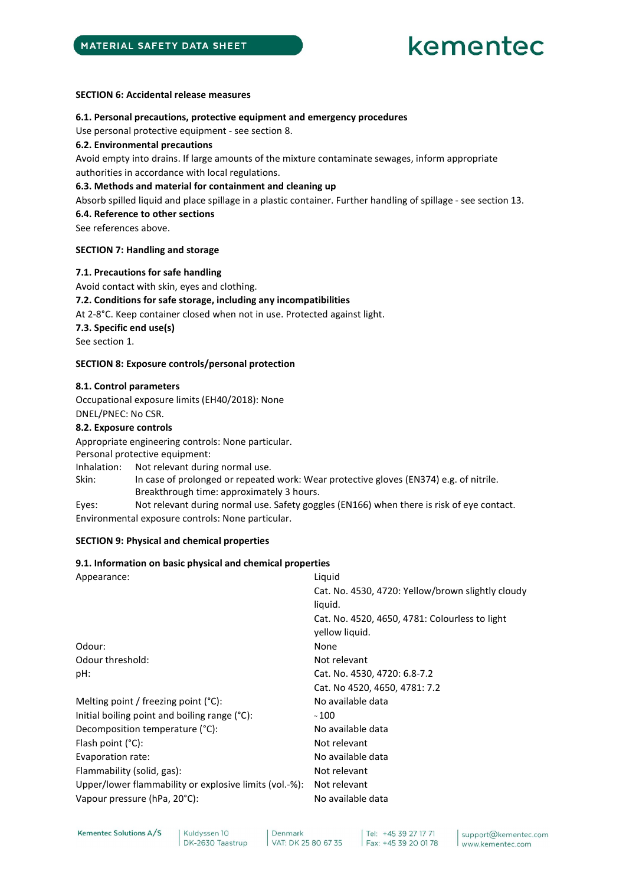## SECTION 6: Accidental release measures

## 6.1. Personal precautions, protective equipment and emergency procedures

Use personal protective equipment - see section 8.

## 6.2. Environmental precautions

Avoid empty into drains. If large amounts of the mixture contaminate sewages, inform appropriate authorities in accordance with local regulations.

## 6.3. Methods and material for containment and cleaning up

Absorb spilled liquid and place spillage in a plastic container. Further handling of spillage - see section 13.

# 6.4. Reference to other sections

See references above.

## SECTION 7: Handling and storage

## 7.1. Precautions for safe handling

Avoid contact with skin, eyes and clothing.

# 7.2. Conditions for safe storage, including any incompatibilities

At 2-8°C. Keep container closed when not in use. Protected against light.

7.3. Specific end use(s)

See section 1.

# SECTION 8: Exposure controls/personal protection

## 8.1. Control parameters

Occupational exposure limits (EH40/2018): None DNEL/PNEC: No CSR.

## 8.2. Exposure controls

Appropriate engineering controls: None particular. Personal protective equipment: Inhalation: Not relevant during normal use. Skin: In case of prolonged or repeated work: Wear protective gloves (EN374) e.g. of nitrile. Breakthrough time: approximately 3 hours. Eyes: Not relevant during normal use. Safety goggles (EN166) when there is risk of eye contact.

Environmental exposure controls: None particular.

# SECTION 9: Physical and chemical properties

# 9.1. Information on basic physical and chemical properties

| Appearance:                                            | Liquid<br>Cat. No. 4530, 4720: Yellow/brown slightly cloudy<br>liquid. |
|--------------------------------------------------------|------------------------------------------------------------------------|
|                                                        | Cat. No. 4520, 4650, 4781: Colourless to light<br>yellow liquid.       |
| Odour:                                                 | None                                                                   |
| Odour threshold:                                       | Not relevant                                                           |
| pH:                                                    | Cat. No. 4530, 4720: 6.8-7.2                                           |
|                                                        | Cat. No 4520, 4650, 4781: 7.2                                          |
| Melting point / freezing point $(°C)$ :                | No available data                                                      |
| Initial boiling point and boiling range $(°C)$ :       | $~\scriptstyle{\sim}$ 100 $~$                                          |
| Decomposition temperature (°C):                        | No available data                                                      |
| Flash point $(^{\circ}C)$ :                            | Not relevant                                                           |
| Evaporation rate:                                      | No available data                                                      |
| Flammability (solid, gas):                             | Not relevant                                                           |
| Upper/lower flammability or explosive limits (vol.-%): | Not relevant                                                           |
| Vapour pressure (hPa, 20°C):                           | No available data                                                      |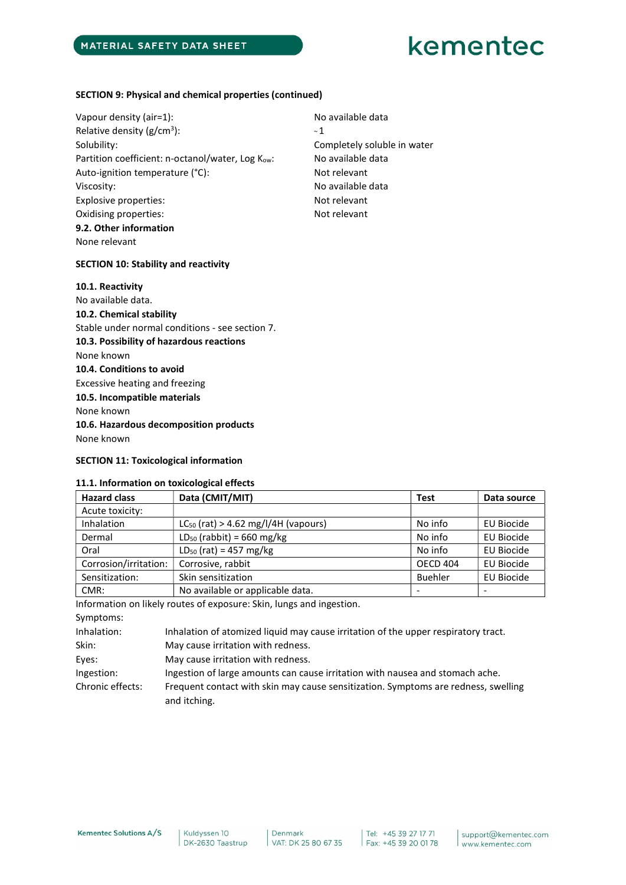# SECTION 9: Physical and chemical properties (continued)

Vapour density (air=1): Vapour density (air=1): Relative density (g/cm<sup>3</sup>): ):  $\sim 1$ Solubility: Solubility: Completely soluble in water Partition coefficient: n-octanol/water, Log K<sub>ow</sub>: No available data Auto-ignition temperature (°C): Not relevant Viscosity: No available data Explosive properties: Not relevant Oxidising properties: Not relevant 9.2. Other information None relevant

# SECTION 10: Stability and reactivity

# 10.1. Reactivity No available data. 10.2. Chemical stability Stable under normal conditions - see section 7. 10.3. Possibility of hazardous reactions None known 10.4. Conditions to avoid Excessive heating and freezing 10.5. Incompatible materials None known 10.6. Hazardous decomposition products None known

# SECTION 11: Toxicological information

### 11.1. Information on toxicological effects

| <b>Hazard class</b>   | Data (CMIT/MIT)                          | <b>Test</b>     | Data source       |
|-----------------------|------------------------------------------|-----------------|-------------------|
| Acute toxicity:       |                                          |                 |                   |
| Inhalation            | $LC_{50}$ (rat) > 4.62 mg/l/4H (vapours) | No info         | EU Biocide        |
| Dermal                | $LD_{50}$ (rabbit) = 660 mg/kg           | No info         | <b>EU Biocide</b> |
| Oral                  | $LD_{50}$ (rat) = 457 mg/kg              | No info         | <b>EU Biocide</b> |
| Corrosion/irritation: | Corrosive, rabbit                        | <b>OECD 404</b> | <b>EU Biocide</b> |
| Sensitization:        | Skin sensitization                       | <b>Buehler</b>  | <b>EU Biocide</b> |
| CMR:                  | No available or applicable data.         |                 |                   |

Information on likely routes of exposure: Skin, lungs and ingestion.

Symptoms:

| Inhalation:      | Inhalation of atomized liquid may cause irritation of the upper respiratory tract.                 |
|------------------|----------------------------------------------------------------------------------------------------|
| Skin:            | May cause irritation with redness.                                                                 |
| Eyes:            | May cause irritation with redness.                                                                 |
| Ingestion:       | Ingestion of large amounts can cause irritation with nausea and stomach ache.                      |
| Chronic effects: | Frequent contact with skin may cause sensitization. Symptoms are redness, swelling<br>and itching. |

Kuldyssen 10 DK-2630 Taastrup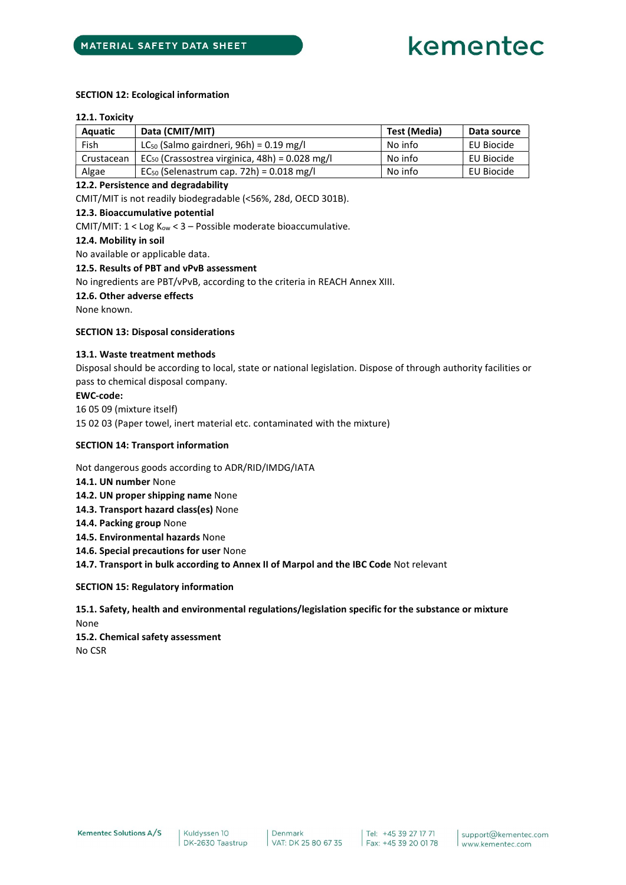## SECTION 12: Ecological information

#### 12.1. Toxicity

| Aquatic    | Data (CMIT/MIT)                                     | Test (Media) | Data source |
|------------|-----------------------------------------------------|--------------|-------------|
| Fish       | $LC_{50}$ (Salmo gairdneri, 96h) = 0.19 mg/l        | No info      | EU Biocide  |
| Crustacean | $EC_{50}$ (Crassostrea virginica, 48h) = 0.028 mg/l | No info      | EU Biocide  |
| Algae      | $EC_{50}$ (Selenastrum cap. 72h) = 0.018 mg/l       | No info      | EU Biocide  |

## 12.2. Persistence and degradability

CMIT/MIT is not readily biodegradable (<56%, 28d, OECD 301B).

# 12.3. Bioaccumulative potential

CMIT/MIT:  $1 <$  Log K<sub>ow</sub>  $<$  3 – Possible moderate bioaccumulative.

### 12.4. Mobility in soil

No available or applicable data.

### 12.5. Results of PBT and vPvB assessment

No ingredients are PBT/vPvB, according to the criteria in REACH Annex XIII.

## 12.6. Other adverse effects

None known.

# SECTION 13: Disposal considerations

# 13.1. Waste treatment methods

Disposal should be according to local, state or national legislation. Dispose of through authority facilities or pass to chemical disposal company.

### EWC-code:

16 05 09 (mixture itself)

15 02 03 (Paper towel, inert material etc. contaminated with the mixture)

## SECTION 14: Transport information

Not dangerous goods according to ADR/RID/IMDG/IATA

- 14.1. UN number None
- 14.2. UN proper shipping name None
- 14.3. Transport hazard class(es) None
- 14.4. Packing group None
- 14.5. Environmental hazards None
- 14.6. Special precautions for user None

14.7. Transport in bulk according to Annex II of Marpol and the IBC Code Not relevant

SECTION 15: Regulatory information

15.1. Safety, health and environmental regulations/legislation specific for the substance or mixture None 15.2. Chemical safety assessment No CSR